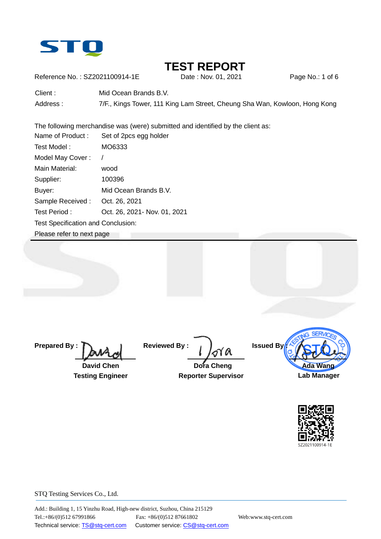

# **TEST REPORT**<br>Date : Nov. 01. 2021

Reference No.: SZ2021100914-1E Date : Nov. 01, 2021 Page No.: 1 of 6

Client : Mid Ocean Brands B.V.

Address : 7/F., Kings Tower, 111 King Lam Street, Cheung Sha Wan, Kowloon, Hong Kong

The following merchandise was (were) submitted and identified by the client as:

| Name of Product:                   | Set of 2pcs egg holder        |  |  |  |
|------------------------------------|-------------------------------|--|--|--|
| Test Model:                        | MO6333                        |  |  |  |
| Model May Cover:                   | Ι                             |  |  |  |
| Main Material:                     | wood                          |  |  |  |
| Supplier:                          | 100396                        |  |  |  |
| Buyer:                             | Mid Ocean Brands B.V.         |  |  |  |
| Sample Received:                   | Oct. 26, 2021                 |  |  |  |
| Test Period:                       | Oct. 26, 2021 - Nov. 01, 2021 |  |  |  |
| Test Specification and Conclusion: |                               |  |  |  |
| Please refer to next page          |                               |  |  |  |

**Prepared By :**

 **David Chen**

 **Testing Engineer**

**Reviewed By :**

 **Dora Cheng Reporter Supervisor**



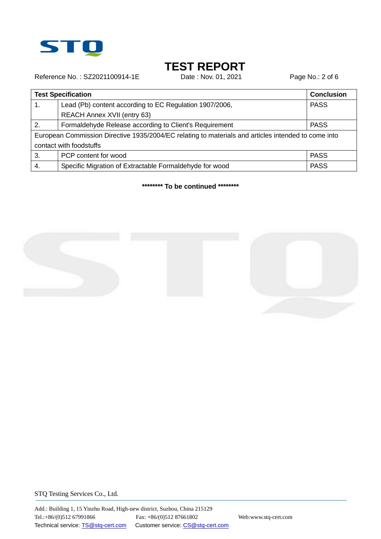

# **TEST REPORT**<br>Date : Nov. 01, 2021

Reference No.: SZ2021100914-1E Date : Nov. 01, 2021 Page No.: 2 of 6

|                                                                                                     | <b>Test Specification</b>                               | <b>Conclusion</b> |  |  |
|-----------------------------------------------------------------------------------------------------|---------------------------------------------------------|-------------------|--|--|
| $\mathbf 1$ .                                                                                       | Lead (Pb) content according to EC Regulation 1907/2006, |                   |  |  |
|                                                                                                     | <b>REACH Annex XVII (entry 63)</b>                      |                   |  |  |
| 2.                                                                                                  | Formaldehyde Release according to Client's Requirement  | <b>PASS</b>       |  |  |
| European Commission Directive 1935/2004/EC relating to materials and articles intended to come into |                                                         |                   |  |  |
| contact with foodstuffs                                                                             |                                                         |                   |  |  |
| 3.                                                                                                  | PCP content for wood                                    | <b>PASS</b>       |  |  |
| 4.                                                                                                  | Specific Migration of Extractable Formaldehyde for wood | <b>PASS</b>       |  |  |

**\*\*\*\*\*\*\*\* To be continued \*\*\*\*\*\*\*\***

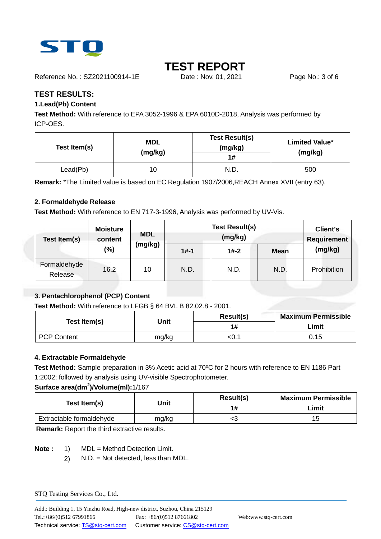

# **TEST REPORT**

Reference No.: SZ2021100914-1E Date : Nov. 01, 2021 Page No.: 3 of 6

**TEST RESULTS:** 

### **1.Lead(Pb) Content**

**Test Method:** With reference to EPA 3052-1996 & EPA 6010D-2018, Analysis was performed by ICP-OES.

| Test Item(s) | <b>MDL</b><br>(mg/kg) | <b>Test Result(s)</b><br>(mg/kg)<br>1# | <b>Limited Value*</b><br>(mg/kg) |
|--------------|-----------------------|----------------------------------------|----------------------------------|
| Lead(Pb)     | 10                    | N.D.                                   | 500                              |

**Remark:** \*The Limited value is based on EC Regulation 1907/2006,REACH Annex XVII (entry 63).

### **2. Formaldehyde Release**

**Test Method:** With reference to EN 717-3-1996, Analysis was performed by UV-Vis.

| Test Item(s)            | <b>Moisture</b><br>content | <b>MDL</b> |          | <b>Client's</b><br><b>Requirement</b> |             |             |
|-------------------------|----------------------------|------------|----------|---------------------------------------|-------------|-------------|
|                         | $(\%)$                     | (mg/kg)    | $1# - 1$ | $1# - 2$                              | <b>Mean</b> | (mg/kg)     |
| Formaldehyde<br>Release | 16.2                       | 10         | N.D.     | N.D.                                  | N.D.        | Prohibition |

### **3. Pentachlorophenol (PCP) Content**

**Test Method:** With reference to LFGB § 64 BVL B 82.02.8 - 2001.

|                    |       | Result(s) | <b>Maximum Permissible</b> |  |
|--------------------|-------|-----------|----------------------------|--|
| Test Item(s)       | Jnit  | 1#        | Limit                      |  |
| <b>PCP Content</b> | mg/kg | <0.1      | 0.15                       |  |

#### **4. Extractable Formaldehyde**

**Test Method:** Sample preparation in 3% Acetic acid at 70ºC for 2 hours with reference to EN 1186 Part 1:2002; followed by analysis using UV-visible Spectrophotometer.

#### **Surface area(dm<sup>2</sup> )/Volume(ml):**1/167

| Test Item(s)             | Unit  | Result(s) | <b>Maximum Permissible</b> |  |
|--------------------------|-------|-----------|----------------------------|--|
|                          |       | 1#        | Limit                      |  |
| Extractable formaldehyde | mg/kg | ╰         | 15                         |  |

**Remark:** Report the third extractive results.

**Note :** 1) MDL = Method Detection Limit.

2) N.D. = Not detected, less than MDL.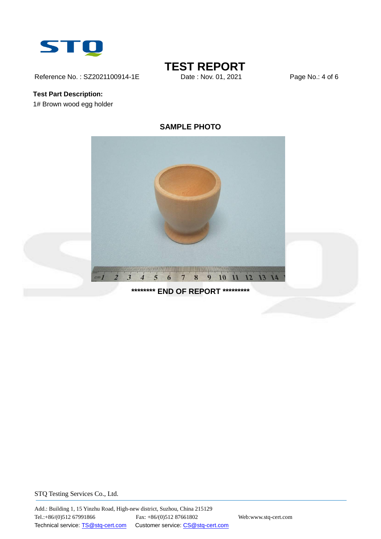

Reference No.: SZ2021100914-1E Date : Nov. 01, 2021 Page No.: 4 of 6

## **Test Part Description:** 1# Brown wood egg holder

# **TEST REPORT**<br>Date : Nov. 01. 2021



## **SAMPLE PHOTO**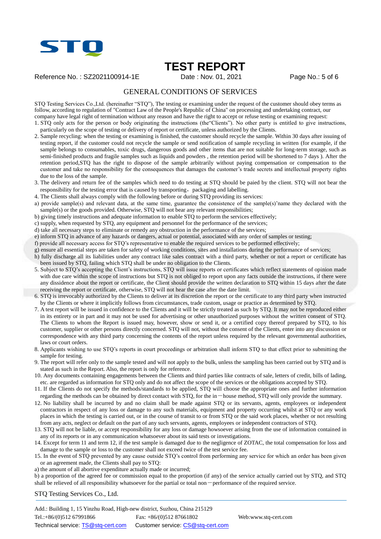

# **TEST REPORT**

Reference No.: SZ2021100914-1E Date: Nov. 01, 2021 Page No.: 5 of 6

#### GENERAL CONDITIONS OF SERVICES

STQ Testing Services Co.,Ltd. (hereinafter "STQ"), The testing or examining under the request of the customer should obey terms as follow, according to regulation of "Contract Law of the People's Republic of China" on processing and undertaking contract, our company have legal right of termination without any reason and have the right to accept or refuse testing or examining request:

- 1. STQ only acts for the person or body originating the instructions (the"Clients"). No other party is entitled to give instructions, particularly on the scope of testing or delivery of report or certificate, unless authorized by the Clients.
- 2. Sample recycling: when the testing or examining is finished, the customer should recycle the sample. Within 30 days after issuing of testing report, if the customer could not recycle the sample or send notification of sample recycling in written (for example, if the sample belongs to consumables, toxic drugs, dangerous goods and other items that are not suitable for long-term storage, such as semi-finished products and fragile samples such as liquids and powders , the retention period will be shortened to 7 days ). After the retention period,STQ has the right to dispose of the sample arbitrarily without paying compensation or compensation to the customer and take no responsibility for the consequences that damages the customer's trade secrets and intellectual property rights due to the loss of the sample.
- 3. The delivery and return fee of the samples which need to do testing at STQ should be paied by the client. STQ will not bear the responsibility for the testing error that is caused by transporting, packaging and labelling.
- 4. The Clients shall always comply with the following before or during STQ providing its services:
- a) provide sample(s) and relevant data, at the same time, guarantee the consistence of the sample(s)'name they declared with the sample(s) or the goods provided. Otherwise, STQ will not bear any relevant responsibilities;
- b) giving timely instructions and adequate information to enable STQ to perform the services effectively;
- c) supply, when requested by STQ, any equipment and personnel for the performance of the services;
- d) take all necessary steps to eliminate or remedy any obstruction in the performance of the services;
- e) inform STQ in advance of any hazards or dangers, actual or potential, associated with any order of samples or testing;
- f) provide all necessary access for STQ's representative to enable the required services to be performed effectively;
- g) ensure all essential steps are taken for safety of working conditions, sites and installations during the performance of services;
- h) fully discharge all its liabilities under any contract like sales contract with a third party, whether or not a report or certificate has been issued by STQ, failing which STQ shall be under no obligation to the Clients.
- 5. Subject to STQ's accepting the Client's instructions, STQ will issue reports or certificates which reflect statements of opinion made with due care within the scope of instructions but STQ is not obliged to report upon any facts outside the instructions, if there were any dissidence about the report or certificate, the Client should provide the written declaration to STQ within 15 days after the date receiving the report or certificate, otherwise, STQ will not hear the case after the date limit.
- 6. STQ is irrevocably authorized by the Clients to deliver at its discretion the report or the certificate to any third party when instructed by the Clients or where it implicitly follows from circumstances, trade custom, usage or practice as determined by STQ.
- 7. A test report will be issued in confidence to the Clients and it will be strictly treated as such by STQ. It may not be reproduced either in its entirety or in part and it may not be used for advertising or other unauthorized purposes without the written consent of STQ. The Clients to whom the Report is issued may, however, show or send it, or a certified copy thereof prepared by STQ, to his customer, supplier or other persons directly concerned. STQ will not, without the consent of the Clients, enter into any discussion or correspondence with any third party concerning the contents of the report unless required by the relevant governmental authorities, laws or court orders.
- 8. Applicants wishing to use STQ's reports in court proceedings or arbitration shall inform STQ to that effect prior to submitting the sample for testing.
- 9. The report will refer only to the sample tested and will not apply to the bulk, unless the sampling has been carried out by STQ and is stated as such in the Report. Also, the report is only for reference.
- 10. Any documents containing engagements between the Clients and third parties like contracts of sale, letters of credit, bills of lading, etc. are regarded as information for STQ only and do not affect the scope of the services or the obligations accepted by STQ.
- 11. If the Clients do not specify the methods/standards to be applied, STQ will choose the appropriate ones and further information regarding the methods can be obtained by direct contact with STQ, for the in-house method, STQ will only provide the summary.
- 12. No liability shall be incurred by and no claim shall be made against STQ or its servants, agents, employees or independent contractors in respect of any loss or damage to any such materials, equipment and property occurring whilst at STQ or any work places in which the testing is carried out, or in the course of transit to or from STQ or the said work places, whether or not resulting from any acts, neglect or default on the part of any such servants, agents, employees or independent contractors of STQ.
- 13. STQ will not be liable, or accept responsibility for any loss or damage howsoever arising from the use of information contained in any of its reports or in any communication whatsoever about its said tests or investigations.
- 14. Except for term 11 and term 12, if the test sample is damaged due to the negligence of ZOTAC, the total compensation for loss and damage to the sample or loss to the customer shall not exceed twice of the test service fee.
- 15. In the event of STQ prevented by any cause outside STQ's control from performing any service for which an order has been given or an agreement made, the Clients shall pay to STQ:
- a) the amount of all abortive expenditure actually made or incurred;

b) a proportion of the agreed fee or commission equal to the proportion (if any) of the service actually carried out by STQ, and STQ shall be relieved of all responsibility whatsoever for the partial or total non-performance of the required service.

STQ Testing Services Co., Ltd.

Add.: Building 1, 15 Yinzhu Road, High-new district, Suzhou, China 215129 Tel.:+86/(0)512 67991866 Fax: +86/(0)512 87661802 Web:www.stq-cert.com Technical service: TS@stq-cert.com Customer service: CS@stq-cert.com